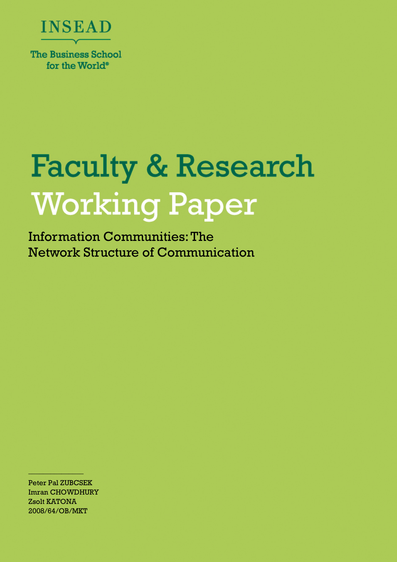

for the World<sup>®</sup>

# **Faculty & Research Working Paper**

Information Communities: The Network Structure of Communication

Peter Pal ZUBCSEK Imran CHOWDHURY Zsolt KATONA 2008/64/OB/MKT

 $\frac{1}{2}$  ,  $\frac{1}{2}$  ,  $\frac{1}{2}$  ,  $\frac{1}{2}$  ,  $\frac{1}{2}$  ,  $\frac{1}{2}$  ,  $\frac{1}{2}$  ,  $\frac{1}{2}$  ,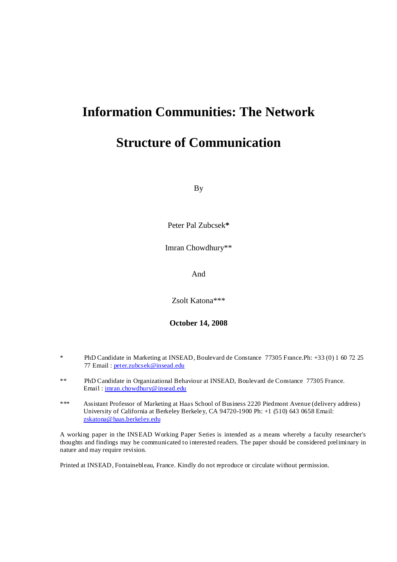# **Information Communities: The Network**

## **Structure of Communication**

By

Peter Pal Zubcsek**\***

Imran Chowdhury\*\*

And

Zsolt Katona\*\*\*

**October 14, 2008** 

- \* PhD Candidate in Marketing at INSEAD, Boulevard de Constance 77305 France.Ph: +33 (0) 1 60 72 25 77 Email : peter.zubcsek@insead.edu
- \*\* PhD Candidate in Organizational Behaviour at INSEAD, Boulevard de Constance 77305 France. Email : imran.chowdhury@insead.edu
- \*\*\* Assistant Professor of Marketing at Haas School of Business 2220 Piedmont Avenue (delivery address) University of California at Berkeley Berkeley, CA 94720-1900 Ph: +1 (510) 643 0658 Email: zskatona@haas.berkeley.edu

A working paper in the INSEAD Working Paper Series is intended as a means whereby a faculty researcher's thoughts and findings may be communicated to interested readers. The paper should be considered preliminary in nature and may require revision.

Printed at INSEAD, Fontainebleau, France. Kindly do not reproduce or circulate without permission.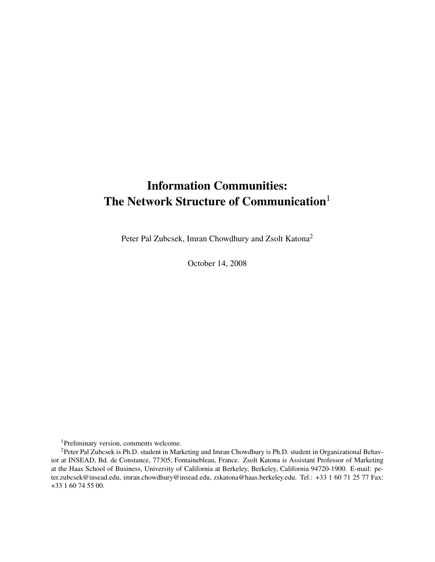# Information Communities: The Network Structure of Communication<sup>1</sup>

Peter Pal Zubcsek, Imran Chowdhury and Zsolt Katona<sup>2</sup>

October 14, 2008

<sup>1</sup>Preliminary version, comments welcome.

<sup>&</sup>lt;sup>2</sup>Peter Pal Zubcsek is Ph.D. student in Marketing and Imran Chowdhury is Ph.D. student in Organizational Behavior at INSEAD, Bd. de Constance, 77305, Fontainebleau, France. Zsolt Katona is Assistant Professor of Marketing at the Haas School of Business, University of California at Berkeley, Berkeley, California 94720-1900. E-mail: peter.zubcsek@insead.edu, imran.chowdhury@insead.edu, zskatona@haas.berkeley.edu. Tel.: +33 1 60 71 25 77 Fax: +33 1 60 74 55 00.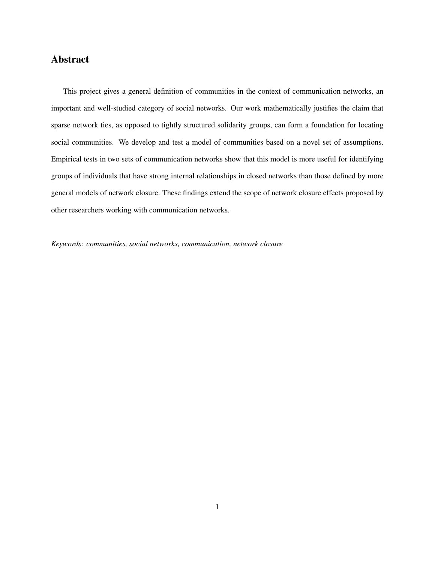## Abstract

This project gives a general definition of communities in the context of communication networks, an important and well-studied category of social networks. Our work mathematically justifies the claim that sparse network ties, as opposed to tightly structured solidarity groups, can form a foundation for locating social communities. We develop and test a model of communities based on a novel set of assumptions. Empirical tests in two sets of communication networks show that this model is more useful for identifying groups of individuals that have strong internal relationships in closed networks than those defined by more general models of network closure. These findings extend the scope of network closure effects proposed by other researchers working with communication networks.

*Keywords: communities, social networks, communication, network closure*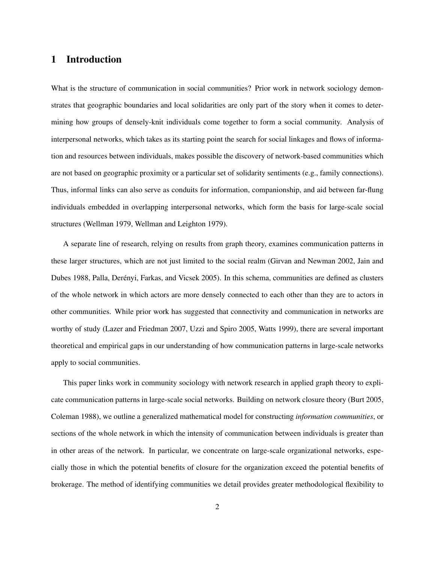## 1 Introduction

What is the structure of communication in social communities? Prior work in network sociology demonstrates that geographic boundaries and local solidarities are only part of the story when it comes to determining how groups of densely-knit individuals come together to form a social community. Analysis of interpersonal networks, which takes as its starting point the search for social linkages and flows of information and resources between individuals, makes possible the discovery of network-based communities which are not based on geographic proximity or a particular set of solidarity sentiments (e.g., family connections). Thus, informal links can also serve as conduits for information, companionship, and aid between far-flung individuals embedded in overlapping interpersonal networks, which form the basis for large-scale social structures (Wellman 1979, Wellman and Leighton 1979).

A separate line of research, relying on results from graph theory, examines communication patterns in these larger structures, which are not just limited to the social realm (Girvan and Newman 2002, Jain and Dubes 1988, Palla, Derényi, Farkas, and Vicsek 2005). In this schema, communities are defined as clusters of the whole network in which actors are more densely connected to each other than they are to actors in other communities. While prior work has suggested that connectivity and communication in networks are worthy of study (Lazer and Friedman 2007, Uzzi and Spiro 2005, Watts 1999), there are several important theoretical and empirical gaps in our understanding of how communication patterns in large-scale networks apply to social communities.

This paper links work in community sociology with network research in applied graph theory to explicate communication patterns in large-scale social networks. Building on network closure theory (Burt 2005, Coleman 1988), we outline a generalized mathematical model for constructing *information communities*, or sections of the whole network in which the intensity of communication between individuals is greater than in other areas of the network. In particular, we concentrate on large-scale organizational networks, especially those in which the potential benefits of closure for the organization exceed the potential benefits of brokerage. The method of identifying communities we detail provides greater methodological flexibility to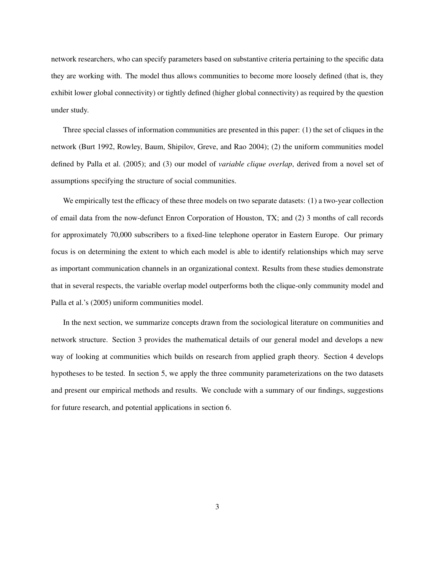network researchers, who can specify parameters based on substantive criteria pertaining to the specific data they are working with. The model thus allows communities to become more loosely defined (that is, they exhibit lower global connectivity) or tightly defined (higher global connectivity) as required by the question under study.

Three special classes of information communities are presented in this paper: (1) the set of cliques in the network (Burt 1992, Rowley, Baum, Shipilov, Greve, and Rao 2004); (2) the uniform communities model defined by Palla et al. (2005); and (3) our model of *variable clique overlap*, derived from a novel set of assumptions specifying the structure of social communities.

We empirically test the efficacy of these three models on two separate datasets: (1) a two-year collection of email data from the now-defunct Enron Corporation of Houston, TX; and (2) 3 months of call records for approximately 70,000 subscribers to a fixed-line telephone operator in Eastern Europe. Our primary focus is on determining the extent to which each model is able to identify relationships which may serve as important communication channels in an organizational context. Results from these studies demonstrate that in several respects, the variable overlap model outperforms both the clique-only community model and Palla et al.'s (2005) uniform communities model.

In the next section, we summarize concepts drawn from the sociological literature on communities and network structure. Section 3 provides the mathematical details of our general model and develops a new way of looking at communities which builds on research from applied graph theory. Section 4 develops hypotheses to be tested. In section 5, we apply the three community parameterizations on the two datasets and present our empirical methods and results. We conclude with a summary of our findings, suggestions for future research, and potential applications in section 6.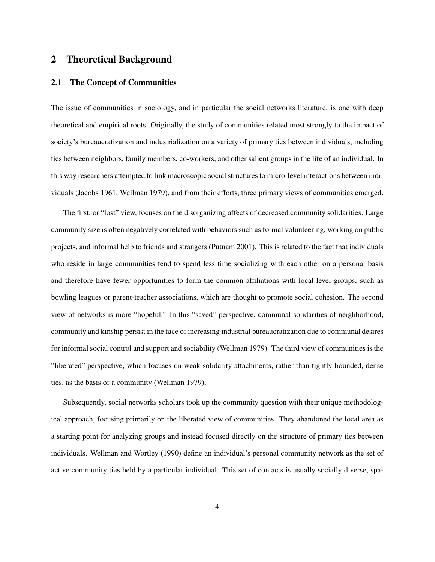## 2 Theoretical Background

## 2.1 The Concept of Communities

The issue of communities in sociology, and in particular the social networks literature, is one with deep theoretical and empirical roots. Originally, the study of communities related most strongly to the impact of society's bureaucratization and industrialization on a variety of primary ties between individuals, including ties between neighbors, family members, co-workers, and other salient groups in the life of an individual. In this way researchers attempted to link macroscopic social structures to micro-level interactions between individuals (Jacobs 1961, Wellman 1979), and from their efforts, three primary views of communities emerged.

The first, or "lost" view, focuses on the disorganizing affects of decreased community solidarities. Large community size is often negatively correlated with behaviors such as formal volunteering, working on public projects, and informal help to friends and strangers (Putnam 2001). This is related to the fact that individuals who reside in large communities tend to spend less time socializing with each other on a personal basis and therefore have fewer opportunities to form the common affiliations with local-level groups, such as bowling leagues or parent-teacher associations, which are thought to promote social cohesion. The second view of networks is more "hopeful." In this "saved" perspective, communal solidarities of neighborhood, community and kinship persist in the face of increasing industrial bureaucratization due to communal desires for informal social control and support and sociability (Wellman 1979). The third view of communities is the "liberated" perspective, which focuses on weak solidarity attachments, rather than tightly-bounded, dense ties, as the basis of a community (Wellman 1979).

Subsequently, social networks scholars took up the community question with their unique methodological approach, focusing primarily on the liberated view of communities. They abandoned the local area as a starting point for analyzing groups and instead focused directly on the structure of primary ties between individuals. Wellman and Wortley (1990) define an individual's personal community network as the set of active community ties held by a particular individual. This set of contacts is usually socially diverse, spa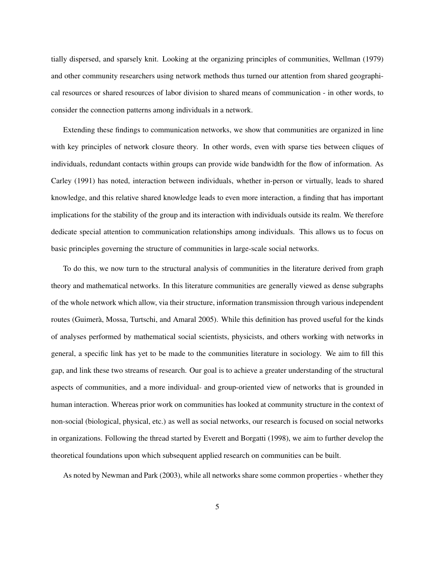tially dispersed, and sparsely knit. Looking at the organizing principles of communities, Wellman (1979) and other community researchers using network methods thus turned our attention from shared geographical resources or shared resources of labor division to shared means of communication - in other words, to consider the connection patterns among individuals in a network.

Extending these findings to communication networks, we show that communities are organized in line with key principles of network closure theory. In other words, even with sparse ties between cliques of individuals, redundant contacts within groups can provide wide bandwidth for the flow of information. As Carley (1991) has noted, interaction between individuals, whether in-person or virtually, leads to shared knowledge, and this relative shared knowledge leads to even more interaction, a finding that has important implications for the stability of the group and its interaction with individuals outside its realm. We therefore dedicate special attention to communication relationships among individuals. This allows us to focus on basic principles governing the structure of communities in large-scale social networks.

To do this, we now turn to the structural analysis of communities in the literature derived from graph theory and mathematical networks. In this literature communities are generally viewed as dense subgraphs of the whole network which allow, via their structure, information transmission through various independent routes (Guimerà, Mossa, Turtschi, and Amaral 2005). While this definition has proved useful for the kinds of analyses performed by mathematical social scientists, physicists, and others working with networks in general, a specific link has yet to be made to the communities literature in sociology. We aim to fill this gap, and link these two streams of research. Our goal is to achieve a greater understanding of the structural aspects of communities, and a more individual- and group-oriented view of networks that is grounded in human interaction. Whereas prior work on communities has looked at community structure in the context of non-social (biological, physical, etc.) as well as social networks, our research is focused on social networks in organizations. Following the thread started by Everett and Borgatti (1998), we aim to further develop the theoretical foundations upon which subsequent applied research on communities can be built.

As noted by Newman and Park (2003), while all networks share some common properties - whether they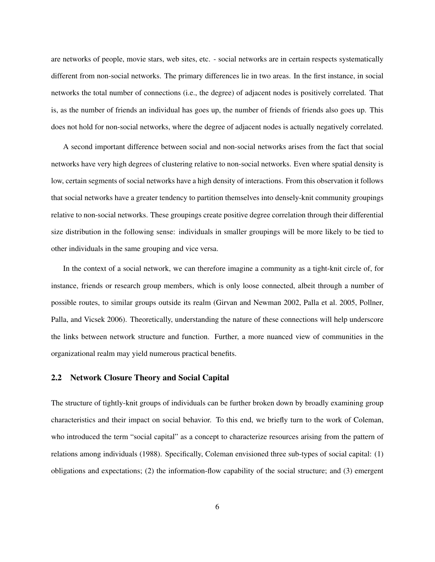are networks of people, movie stars, web sites, etc. - social networks are in certain respects systematically different from non-social networks. The primary differences lie in two areas. In the first instance, in social networks the total number of connections (i.e., the degree) of adjacent nodes is positively correlated. That is, as the number of friends an individual has goes up, the number of friends of friends also goes up. This does not hold for non-social networks, where the degree of adjacent nodes is actually negatively correlated.

A second important difference between social and non-social networks arises from the fact that social networks have very high degrees of clustering relative to non-social networks. Even where spatial density is low, certain segments of social networks have a high density of interactions. From this observation it follows that social networks have a greater tendency to partition themselves into densely-knit community groupings relative to non-social networks. These groupings create positive degree correlation through their differential size distribution in the following sense: individuals in smaller groupings will be more likely to be tied to other individuals in the same grouping and vice versa.

In the context of a social network, we can therefore imagine a community as a tight-knit circle of, for instance, friends or research group members, which is only loose connected, albeit through a number of possible routes, to similar groups outside its realm (Girvan and Newman 2002, Palla et al. 2005, Pollner, Palla, and Vicsek 2006). Theoretically, understanding the nature of these connections will help underscore the links between network structure and function. Further, a more nuanced view of communities in the organizational realm may yield numerous practical benefits.

#### 2.2 Network Closure Theory and Social Capital

The structure of tightly-knit groups of individuals can be further broken down by broadly examining group characteristics and their impact on social behavior. To this end, we briefly turn to the work of Coleman, who introduced the term "social capital" as a concept to characterize resources arising from the pattern of relations among individuals (1988). Specifically, Coleman envisioned three sub-types of social capital: (1) obligations and expectations; (2) the information-flow capability of the social structure; and (3) emergent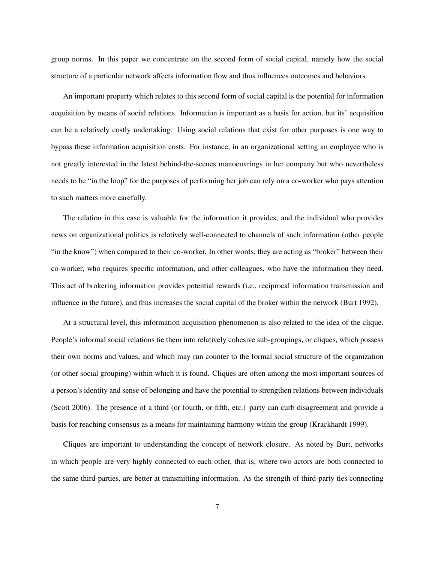group norms. In this paper we concentrate on the second form of social capital, namely how the social structure of a particular network affects information flow and thus influences outcomes and behaviors.

An important property which relates to this second form of social capital is the potential for information acquisition by means of social relations. Information is important as a basis for action, but its' acquisition can be a relatively costly undertaking. Using social relations that exist for other purposes is one way to bypass these information acquisition costs. For instance, in an organizational setting an employee who is not greatly interested in the latest behind-the-scenes manoeuvrings in her company but who nevertheless needs to be "in the loop" for the purposes of performing her job can rely on a co-worker who pays attention to such matters more carefully.

The relation in this case is valuable for the information it provides, and the individual who provides news on organizational politics is relatively well-connected to channels of such information (other people "in the know") when compared to their co-worker. In other words, they are acting as "broker" between their co-worker, who requires specific information, and other colleagues, who have the information they need. This act of brokering information provides potential rewards (i.e., reciprocal information transmission and influence in the future), and thus increases the social capital of the broker within the network (Burt 1992).

At a structural level, this information acquisition phenomenon is also related to the idea of the clique. People's informal social relations tie them into relatively cohesive sub-groupings, or cliques, which possess their own norms and values, and which may run counter to the formal social structure of the organization (or other social grouping) within which it is found. Cliques are often among the most important sources of a person's identity and sense of belonging and have the potential to strengthen relations between individuals (Scott 2006). The presence of a third (or fourth, or fifth, etc.) party can curb disagreement and provide a basis for reaching consensus as a means for maintaining harmony within the group (Krackhardt 1999).

Cliques are important to understanding the concept of network closure. As noted by Burt, networks in which people are very highly connected to each other, that is, where two actors are both connected to the same third-parties, are better at transmitting information. As the strength of third-party ties connecting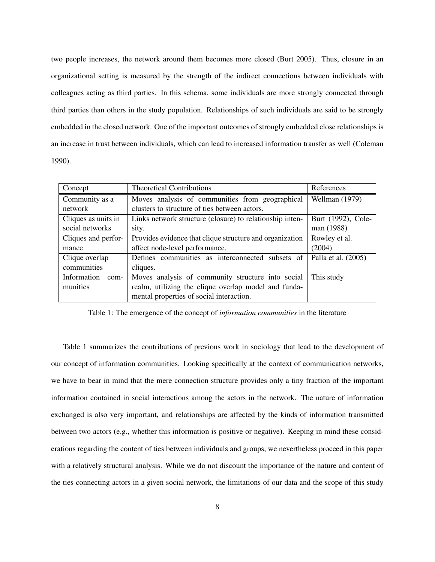two people increases, the network around them becomes more closed (Burt 2005). Thus, closure in an organizational setting is measured by the strength of the indirect connections between individuals with colleagues acting as third parties. In this schema, some individuals are more strongly connected through third parties than others in the study population. Relationships of such individuals are said to be strongly embedded in the closed network. One of the important outcomes of strongly embedded close relationships is an increase in trust between individuals, which can lead to increased information transfer as well (Coleman 1990).

| Concept                 | <b>Theoretical Contributions</b>                         | References          |  |
|-------------------------|----------------------------------------------------------|---------------------|--|
| Community as a          | Moves analysis of communities from geographical          | Wellman (1979)      |  |
| network                 | clusters to structure of ties between actors.            |                     |  |
| Cliques as units in     | Links network structure (closure) to relationship inten- |                     |  |
| social networks         | sity.                                                    | man (1988)          |  |
| Cliques and perfor-     | Provides evidence that clique structure and organization | Rowley et al.       |  |
| mance                   | affect node-level performance.                           | (2004)              |  |
| Clique overlap          | Defines communities as interconnected subsets of         | Palla et al. (2005) |  |
| communities<br>cliques. |                                                          |                     |  |
| Information<br>com-     | Moves analysis of community structure into social        | This study          |  |
| munities                | realm, utilizing the clique overlap model and funda-     |                     |  |
|                         | mental properties of social interaction.                 |                     |  |

Table 1: The emergence of the concept of *information communities* in the literature

Table 1 summarizes the contributions of previous work in sociology that lead to the development of our concept of information communities. Looking specifically at the context of communication networks, we have to bear in mind that the mere connection structure provides only a tiny fraction of the important information contained in social interactions among the actors in the network. The nature of information exchanged is also very important, and relationships are affected by the kinds of information transmitted between two actors (e.g., whether this information is positive or negative). Keeping in mind these considerations regarding the content of ties between individuals and groups, we nevertheless proceed in this paper with a relatively structural analysis. While we do not discount the importance of the nature and content of the ties connecting actors in a given social network, the limitations of our data and the scope of this study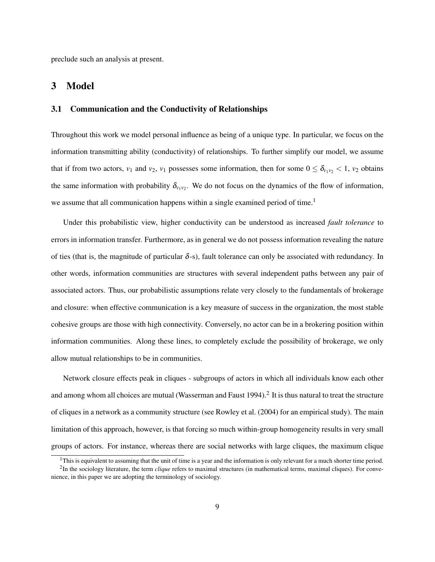preclude such an analysis at present.

## 3 Model

## 3.1 Communication and the Conductivity of Relationships

Throughout this work we model personal influence as being of a unique type. In particular, we focus on the information transmitting ability (conductivity) of relationships. To further simplify our model, we assume that if from two actors,  $v_1$  and  $v_2$ ,  $v_1$  possesses some information, then for some  $0 \le \delta_{v_1v_2} < 1$ ,  $v_2$  obtains the same information with probability  $\delta_{v_1v_2}$ . We do not focus on the dynamics of the flow of information, we assume that all communication happens within a single examined period of time.<sup>1</sup>

Under this probabilistic view, higher conductivity can be understood as increased *fault tolerance* to errors in information transfer. Furthermore, as in general we do not possess information revealing the nature of ties (that is, the magnitude of particular  $\delta$ -s), fault tolerance can only be associated with redundancy. In other words, information communities are structures with several independent paths between any pair of associated actors. Thus, our probabilistic assumptions relate very closely to the fundamentals of brokerage and closure: when effective communication is a key measure of success in the organization, the most stable cohesive groups are those with high connectivity. Conversely, no actor can be in a brokering position within information communities. Along these lines, to completely exclude the possibility of brokerage, we only allow mutual relationships to be in communities.

Network closure effects peak in cliques - subgroups of actors in which all individuals know each other and among whom all choices are mutual (Wasserman and Faust 1994). $^2$  It is thus natural to treat the structure of cliques in a network as a community structure (see Rowley et al. (2004) for an empirical study). The main limitation of this approach, however, is that forcing so much within-group homogeneity results in very small groups of actors. For instance, whereas there are social networks with large cliques, the maximum clique

<sup>&</sup>lt;sup>1</sup>This is equivalent to assuming that the unit of time is a year and the information is only relevant for a much shorter time period.

<sup>&</sup>lt;sup>2</sup>In the sociology literature, the term *clique* refers to maximal structures (in mathematical terms, maximal cliques). For convenience, in this paper we are adopting the terminology of sociology.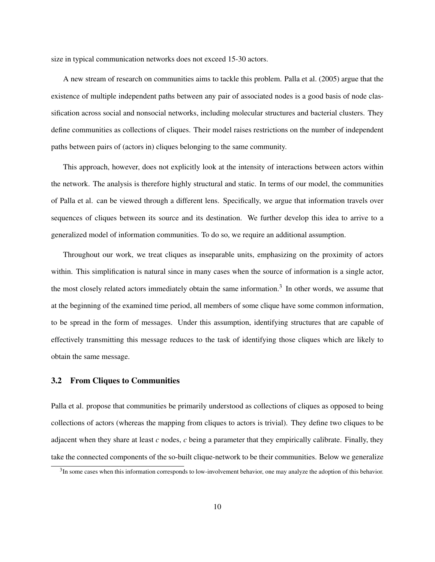size in typical communication networks does not exceed 15-30 actors.

A new stream of research on communities aims to tackle this problem. Palla et al. (2005) argue that the existence of multiple independent paths between any pair of associated nodes is a good basis of node classification across social and nonsocial networks, including molecular structures and bacterial clusters. They define communities as collections of cliques. Their model raises restrictions on the number of independent paths between pairs of (actors in) cliques belonging to the same community.

This approach, however, does not explicitly look at the intensity of interactions between actors within the network. The analysis is therefore highly structural and static. In terms of our model, the communities of Palla et al. can be viewed through a different lens. Specifically, we argue that information travels over sequences of cliques between its source and its destination. We further develop this idea to arrive to a generalized model of information communities. To do so, we require an additional assumption.

Throughout our work, we treat cliques as inseparable units, emphasizing on the proximity of actors within. This simplification is natural since in many cases when the source of information is a single actor, the most closely related actors immediately obtain the same information.<sup>3</sup> In other words, we assume that at the beginning of the examined time period, all members of some clique have some common information, to be spread in the form of messages. Under this assumption, identifying structures that are capable of effectively transmitting this message reduces to the task of identifying those cliques which are likely to obtain the same message.

#### 3.2 From Cliques to Communities

Palla et al. propose that communities be primarily understood as collections of cliques as opposed to being collections of actors (whereas the mapping from cliques to actors is trivial). They define two cliques to be adjacent when they share at least *c* nodes, *c* being a parameter that they empirically calibrate. Finally, they take the connected components of the so-built clique-network to be their communities. Below we generalize

 $3$ In some cases when this information corresponds to low-involvement behavior, one may analyze the adoption of this behavior.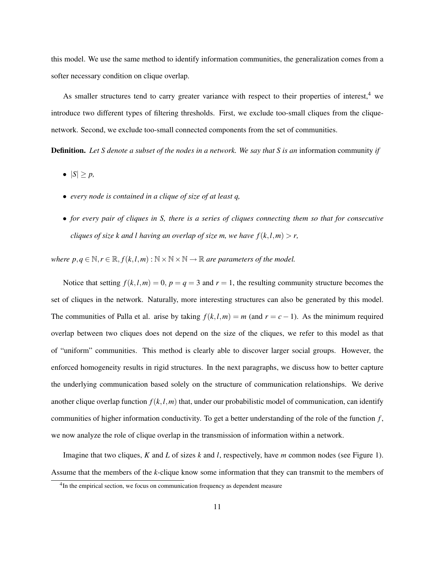this model. We use the same method to identify information communities, the generalization comes from a softer necessary condition on clique overlap.

As smaller structures tend to carry greater variance with respect to their properties of interest,<sup>4</sup> we introduce two different types of filtering thresholds. First, we exclude too-small cliques from the cliquenetwork. Second, we exclude too-small connected components from the set of communities.

Definition. *Let S denote a subset of the nodes in a network. We say that S is an* information community *if*

- $\bullet$   $|S| \geq p$ ,
- *every node is contained in a clique of size of at least q,*
- *for every pair of cliques in S, there is a series of cliques connecting them so that for consecutive cliques of size k and l having an overlap of size m, we have*  $f(k, l, m) > r$ *,*

*where*  $p, q \in \mathbb{N}, r \in \mathbb{R}, f(k, l, m) : \mathbb{N} \times \mathbb{N} \times \mathbb{N} \rightarrow \mathbb{R}$  *are parameters of the model.* 

Notice that setting  $f(k, l, m) = 0$ ,  $p = q = 3$  and  $r = 1$ , the resulting community structure becomes the set of cliques in the network. Naturally, more interesting structures can also be generated by this model. The communities of Palla et al. arise by taking  $f(k, l, m) = m$  (and  $r = c - 1$ ). As the minimum required overlap between two cliques does not depend on the size of the cliques, we refer to this model as that of "uniform" communities. This method is clearly able to discover larger social groups. However, the enforced homogeneity results in rigid structures. In the next paragraphs, we discuss how to better capture the underlying communication based solely on the structure of communication relationships. We derive another clique overlap function  $f(k, l, m)$  that, under our probabilistic model of communication, can identify communities of higher information conductivity. To get a better understanding of the role of the function *f* , we now analyze the role of clique overlap in the transmission of information within a network.

Imagine that two cliques, *K* and *L* of sizes *k* and *l*, respectively, have *m* common nodes (see Figure 1). Assume that the members of the *k*-clique know some information that they can transmit to the members of

<sup>&</sup>lt;sup>4</sup>In the empirical section, we focus on communication frequency as dependent measure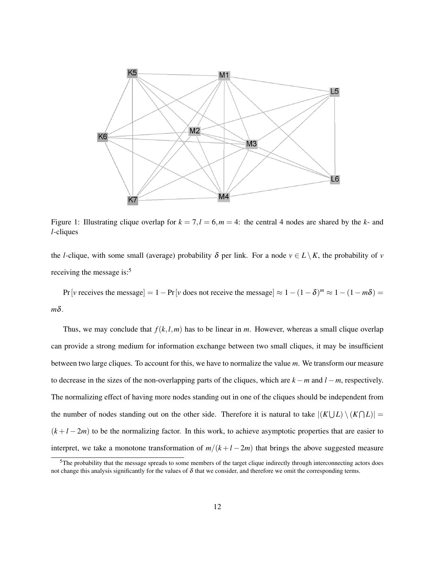

Figure 1: Illustrating clique overlap for  $k = 7, l = 6, m = 4$ : the central 4 nodes are shared by the *k*- and *l*-cliques

the *l*-clique, with some small (average) probability  $\delta$  per link. For a node  $v \in L \setminus K$ , the probability of *v* receiving the message is:<sup>5</sup>

Pr[*v* receives the message] = 1 – Pr[*v* does not receive the message]  $\approx 1 - (1 - \delta)^m \approx 1 - (1 - m\delta)$  = *m*δ.

Thus, we may conclude that  $f(k, l, m)$  has to be linear in *m*. However, whereas a small clique overlap can provide a strong medium for information exchange between two small cliques, it may be insufficient between two large cliques. To account for this, we have to normalize the value *m*. We transform our measure to decrease in the sizes of the non-overlapping parts of the cliques, which are *k* −*m* and *l* −*m*, respectively. The normalizing effect of having more nodes standing out in one of the cliques should be independent from the number of nodes standing out on the other side. Therefore it is natural to take  $|(K\bigcup L)\setminus (K\bigcap L)|$  $(k+l-2m)$  to be the normalizing factor. In this work, to achieve asymptotic properties that are easier to interpret, we take a monotone transformation of  $m/(k+l-2m)$  that brings the above suggested measure

<sup>&</sup>lt;sup>5</sup>The probability that the message spreads to some members of the target clique indirectly through interconnecting actors does not change this analysis significantly for the values of δ that we consider, and therefore we omit the corresponding terms.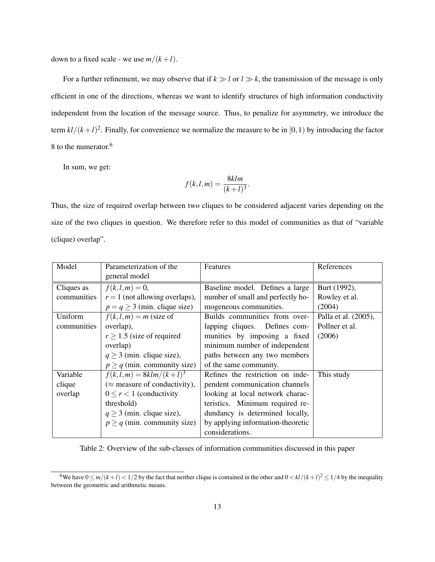down to a fixed scale - we use  $m/(k+l)$ .

For a further refinement, we may observe that if  $k \gg l$  or  $l \gg k$ , the transmission of the message is only efficient in one of the directions, whereas we want to identify structures of high information conductivity independent from the location of the message source. Thus, to penalize for asymmetry, we introduce the term  $kl/(k+l)^2$ . Finally, for convenience we normalize the measure to be in [0, 1) by introducing the factor 8 to the numerator.<sup>6</sup>

In sum, we get:

$$
f(k, l, m) = \frac{8klm}{(k+l)^3}.
$$

Thus, the size of required overlap between two cliques to be considered adjacent varies depending on the size of the two cliques in question. We therefore refer to this model of communities as that of "variable (clique) overlap".

| Model       | Parameterization of the              | Features                          | References           |
|-------------|--------------------------------------|-----------------------------------|----------------------|
|             | general model                        |                                   |                      |
| Cliques as  | $f(k, l, m) = 0,$                    | Baseline model. Defines a large   | Burt (1992),         |
| communities | $r = 1$ (not allowing overlaps),     | number of small and perfectly ho- | Rowley et al.        |
|             | $p = q \ge 3$ (min. clique size)     | mogeneous communities.            | (2004)               |
| Uniform     | $f(k, l, m) = m$ (size of            | Builds communities from over-     | Palla et al. (2005), |
| communities | overlap),                            | lapping cliques. Defines com-     | Pollner et al.       |
|             | $r \geq 1.5$ (size of required       | munities by imposing a fixed      | (2006)               |
|             | overlap)                             | minimum number of independent     |                      |
|             | $q \geq 3$ (min. clique size),       | paths between any two members     |                      |
|             | $p \geq q$ (min. community size)     | of the same community.            |                      |
| Variable    | $f(k, l, m) = 8klm/(k+l)^3$          | Refines the restriction on inde-  | This study           |
| clique      | $(\approx$ measure of conductivity), | pendent communication channels    |                      |
| overlap     | $0 \le r < 1$ (conductivity          | looking at local network charac-  |                      |
|             | threshold)                           | teristics. Minimum required re-   |                      |
|             | $q \geq 3$ (min. clique size),       | dundancy is determined locally,   |                      |
|             | $p \geq q$ (min. community size)     | by applying information-theoretic |                      |
|             |                                      | considerations.                   |                      |

Table 2: Overview of the sub-classes of information communities discussed in this paper

<sup>&</sup>lt;sup>6</sup>We have  $0 \le m/(k+l) < 1/2$  by the fact that neither clique is contained in the other and  $0 < kl/(k+l)^2 \le 1/4$  by the inequality between the geometric and arithmetic means.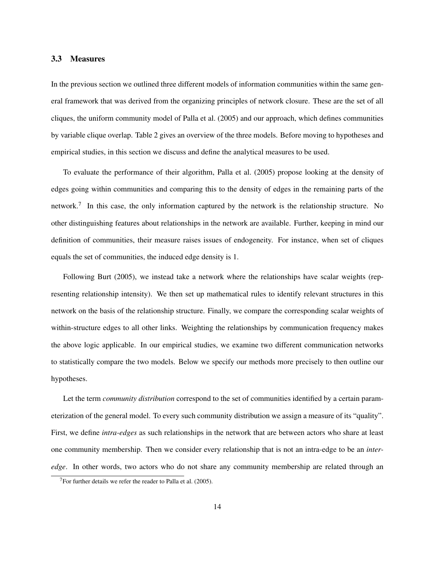#### 3.3 Measures

In the previous section we outlined three different models of information communities within the same general framework that was derived from the organizing principles of network closure. These are the set of all cliques, the uniform community model of Palla et al. (2005) and our approach, which defines communities by variable clique overlap. Table 2 gives an overview of the three models. Before moving to hypotheses and empirical studies, in this section we discuss and define the analytical measures to be used.

To evaluate the performance of their algorithm, Palla et al. (2005) propose looking at the density of edges going within communities and comparing this to the density of edges in the remaining parts of the network.<sup>7</sup> In this case, the only information captured by the network is the relationship structure. No other distinguishing features about relationships in the network are available. Further, keeping in mind our definition of communities, their measure raises issues of endogeneity. For instance, when set of cliques equals the set of communities, the induced edge density is 1.

Following Burt (2005), we instead take a network where the relationships have scalar weights (representing relationship intensity). We then set up mathematical rules to identify relevant structures in this network on the basis of the relationship structure. Finally, we compare the corresponding scalar weights of within-structure edges to all other links. Weighting the relationships by communication frequency makes the above logic applicable. In our empirical studies, we examine two different communication networks to statistically compare the two models. Below we specify our methods more precisely to then outline our hypotheses.

Let the term *community distribution* correspond to the set of communities identified by a certain parameterization of the general model. To every such community distribution we assign a measure of its "quality". First, we define *intra-edges* as such relationships in the network that are between actors who share at least one community membership. Then we consider every relationship that is not an intra-edge to be an *interedge*. In other words, two actors who do not share any community membership are related through an

 $7$ For further details we refer the reader to Palla et al. (2005).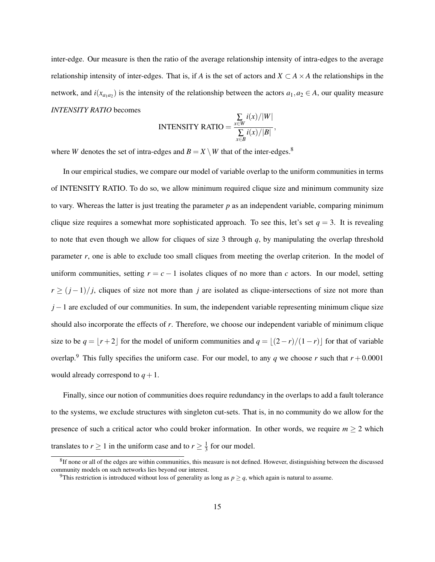inter-edge. Our measure is then the ratio of the average relationship intensity of intra-edges to the average relationship intensity of inter-edges. That is, if *A* is the set of actors and  $X \subset A \times A$  the relationships in the network, and  $i(x_{a_1a_2})$  is the intensity of the relationship between the actors  $a_1, a_2 \in A$ , our quality measure *INTENSITY RATIO* becomes

INTENSITY RATIO = 
$$
\frac{\sum_{x \in W} i(x)/|W|}{\sum_{x \in B} i(x)/|B|},
$$

where *W* denotes the set of intra-edges and  $B = X \setminus W$  that of the inter-edges.<sup>8</sup>

In our empirical studies, we compare our model of variable overlap to the uniform communities in terms of INTENSITY RATIO. To do so, we allow minimum required clique size and minimum community size to vary. Whereas the latter is just treating the parameter *p* as an independent variable, comparing minimum clique size requires a somewhat more sophisticated approach. To see this, let's set  $q = 3$ . It is revealing to note that even though we allow for cliques of size 3 through *q*, by manipulating the overlap threshold parameter *r*, one is able to exclude too small cliques from meeting the overlap criterion. In the model of uniform communities, setting  $r = c - 1$  isolates cliques of no more than *c* actors. In our model, setting  $r \ge (j-1)/j$ , cliques of size not more than *j* are isolated as clique-intersections of size not more than *j* − 1 are excluded of our communities. In sum, the independent variable representing minimum clique size should also incorporate the effects of *r*. Therefore, we choose our independent variable of minimum clique size to be  $q = \lfloor r+2 \rfloor$  for the model of uniform communities and  $q = \lfloor (2-r)/(1-r) \rfloor$  for that of variable overlap.<sup>9</sup> This fully specifies the uniform case. For our model, to any *q* we choose *r* such that  $r + 0.0001$ would already correspond to  $q+1$ .

Finally, since our notion of communities does require redundancy in the overlaps to add a fault tolerance to the systems, we exclude structures with singleton cut-sets. That is, in no community do we allow for the presence of such a critical actor who could broker information. In other words, we require  $m \geq 2$  which translates to  $r \geq 1$  in the uniform case and to  $r \geq \frac{1}{3}$  $\frac{1}{3}$  for our model.

<sup>&</sup>lt;sup>8</sup>If none or all of the edges are within communities, this measure is not defined. However, distinguishing between the discussed community models on such networks lies beyond our interest.

<sup>&</sup>lt;sup>9</sup>This restriction is introduced without loss of generality as long as  $p \geq q$ , which again is natural to assume.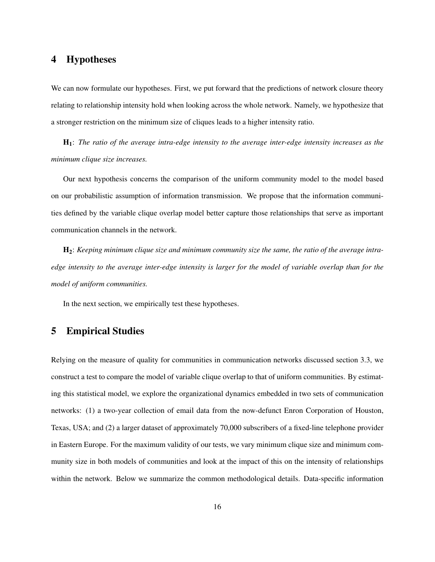## 4 Hypotheses

We can now formulate our hypotheses. First, we put forward that the predictions of network closure theory relating to relationship intensity hold when looking across the whole network. Namely, we hypothesize that a stronger restriction on the minimum size of cliques leads to a higher intensity ratio.

H1: *The ratio of the average intra-edge intensity to the average inter-edge intensity increases as the minimum clique size increases.*

Our next hypothesis concerns the comparison of the uniform community model to the model based on our probabilistic assumption of information transmission. We propose that the information communities defined by the variable clique overlap model better capture those relationships that serve as important communication channels in the network.

H2: *Keeping minimum clique size and minimum community size the same, the ratio of the average intraedge intensity to the average inter-edge intensity is larger for the model of variable overlap than for the model of uniform communities.*

In the next section, we empirically test these hypotheses.

## 5 Empirical Studies

Relying on the measure of quality for communities in communication networks discussed section 3.3, we construct a test to compare the model of variable clique overlap to that of uniform communities. By estimating this statistical model, we explore the organizational dynamics embedded in two sets of communication networks: (1) a two-year collection of email data from the now-defunct Enron Corporation of Houston, Texas, USA; and (2) a larger dataset of approximately 70,000 subscribers of a fixed-line telephone provider in Eastern Europe. For the maximum validity of our tests, we vary minimum clique size and minimum community size in both models of communities and look at the impact of this on the intensity of relationships within the network. Below we summarize the common methodological details. Data-specific information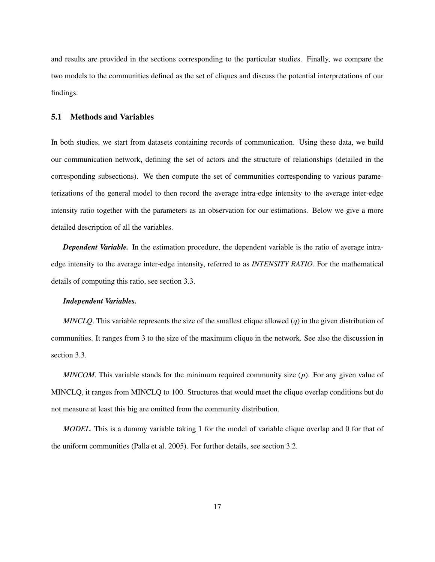and results are provided in the sections corresponding to the particular studies. Finally, we compare the two models to the communities defined as the set of cliques and discuss the potential interpretations of our findings.

#### 5.1 Methods and Variables

In both studies, we start from datasets containing records of communication. Using these data, we build our communication network, defining the set of actors and the structure of relationships (detailed in the corresponding subsections). We then compute the set of communities corresponding to various parameterizations of the general model to then record the average intra-edge intensity to the average inter-edge intensity ratio together with the parameters as an observation for our estimations. Below we give a more detailed description of all the variables.

*Dependent Variable.* In the estimation procedure, the dependent variable is the ratio of average intraedge intensity to the average inter-edge intensity, referred to as *INTENSITY RATIO*. For the mathematical details of computing this ratio, see section 3.3.

#### *Independent Variables.*

*MINCLQ*. This variable represents the size of the smallest clique allowed (*q*) in the given distribution of communities. It ranges from 3 to the size of the maximum clique in the network. See also the discussion in section 3.3.

*MINCOM*. This variable stands for the minimum required community size (*p*). For any given value of MINCLQ, it ranges from MINCLQ to 100. Structures that would meet the clique overlap conditions but do not measure at least this big are omitted from the community distribution.

*MODEL*. This is a dummy variable taking 1 for the model of variable clique overlap and 0 for that of the uniform communities (Palla et al. 2005). For further details, see section 3.2.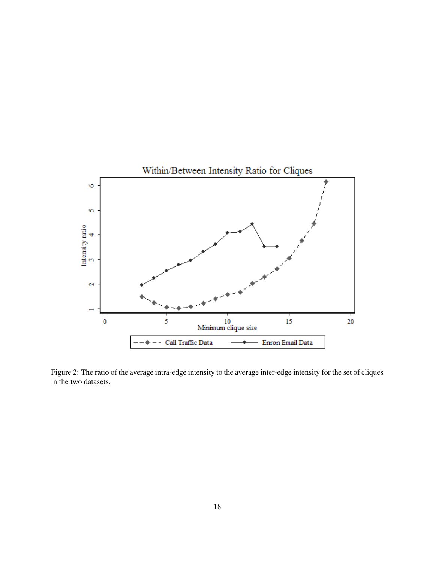

Figure 2: The ratio of the average intra-edge intensity to the average inter-edge intensity for the set of cliques in the two datasets.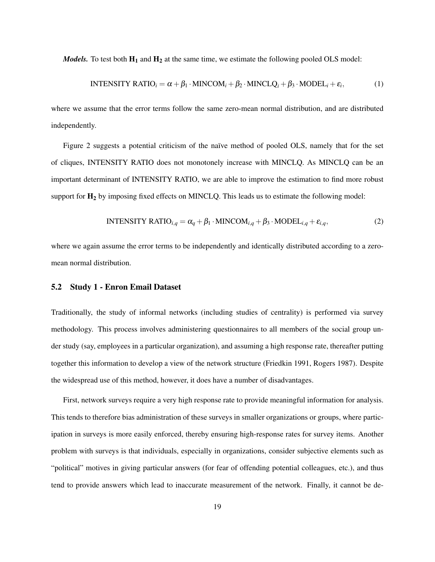*Models.* To test both  $H_1$  and  $H_2$  at the same time, we estimate the following pooled OLS model:

$$
INTENSITY RATIOi = \alpha + \beta_1 \cdot MINCOMi + \beta_2 \cdot MINCLQi + \beta_3 \cdot MODELi + \varepsilon_i,
$$
 (1)

where we assume that the error terms follow the same zero-mean normal distribution, and are distributed independently.

Figure 2 suggests a potential criticism of the naïve method of pooled OLS, namely that for the set of cliques, INTENSITY RATIO does not monotonely increase with MINCLQ. As MINCLQ can be an important determinant of INTENSITY RATIO, we are able to improve the estimation to find more robust support for  $H_2$  by imposing fixed effects on MINCLQ. This leads us to estimate the following model:

$$
INTENSITY RATIOi,q = \alpha_q + \beta_1 \cdot MINCOMi,q + \beta_3 \cdot MODELi,q + \varepsilon_{i,q},
$$
\n(2)

where we again assume the error terms to be independently and identically distributed according to a zeromean normal distribution.

## 5.2 Study 1 - Enron Email Dataset

Traditionally, the study of informal networks (including studies of centrality) is performed via survey methodology. This process involves administering questionnaires to all members of the social group under study (say, employees in a particular organization), and assuming a high response rate, thereafter putting together this information to develop a view of the network structure (Friedkin 1991, Rogers 1987). Despite the widespread use of this method, however, it does have a number of disadvantages.

First, network surveys require a very high response rate to provide meaningful information for analysis. This tends to therefore bias administration of these surveys in smaller organizations or groups, where participation in surveys is more easily enforced, thereby ensuring high-response rates for survey items. Another problem with surveys is that individuals, especially in organizations, consider subjective elements such as "political" motives in giving particular answers (for fear of offending potential colleagues, etc.), and thus tend to provide answers which lead to inaccurate measurement of the network. Finally, it cannot be de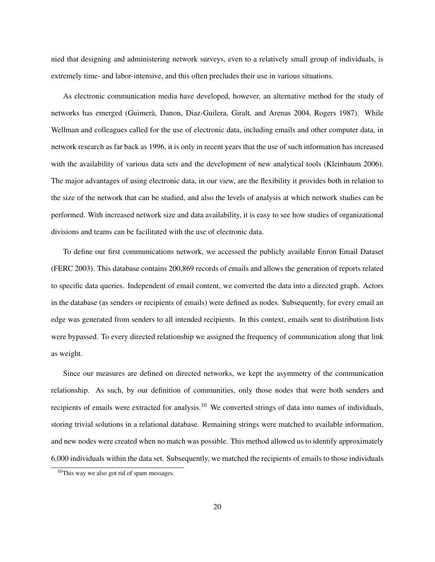nied that designing and administering network surveys, even to a relatively small group of individuals, is extremely time- and labor-intensive, and this often precludes their use in various situations.

As electronic communication media have developed, however, an alternative method for the study of networks has emerged (Guimerà, Danon, Diaz-Guilera, Giralt, and Arenas 2004, Rogers 1987). While Wellman and colleagues called for the use of electronic data, including emails and other computer data, in network research as far back as 1996, it is only in recent years that the use of such information has increased with the availability of various data sets and the development of new analytical tools (Kleinbaum 2006). The major advantages of using electronic data, in our view, are the flexibility it provides both in relation to the size of the network that can be studied, and also the levels of analysis at which network studies can be performed. With increased network size and data availability, it is easy to see how studies of organizational divisions and teams can be facilitated with the use of electronic data.

To define our first communications network, we accessed the publicly available Enron Email Dataset (FERC 2003). This database contains 200,869 records of emails and allows the generation of reports related to specific data queries. Independent of email content, we converted the data into a directed graph. Actors in the database (as senders or recipients of emails) were defined as nodes. Subsequently, for every email an edge was generated from senders to all intended recipients. In this context, emails sent to distribution lists were bypassed. To every directed relationship we assigned the frequency of communication along that link as weight.

Since our measures are defined on directed networks, we kept the asymmetry of the communication relationship. As such, by our definition of communities, only those nodes that were both senders and recipients of emails were extracted for analysis.<sup>10</sup> We converted strings of data into names of individuals, storing trivial solutions in a relational database. Remaining strings were matched to available information, and new nodes were created when no match was possible. This method allowed us to identify approximately 6,000 individuals within the data set. Subsequently, we matched the recipients of emails to those individuals

 $10$ This way we also got rid of spam messages.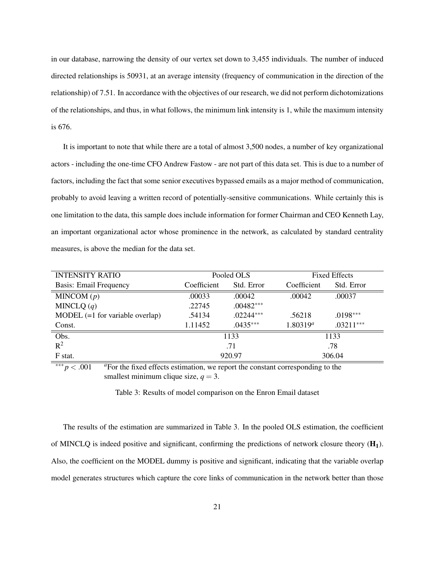in our database, narrowing the density of our vertex set down to 3,455 individuals. The number of induced directed relationships is 50931, at an average intensity (frequency of communication in the direction of the relationship) of 7.51. In accordance with the objectives of our research, we did not perform dichotomizations of the relationships, and thus, in what follows, the minimum link intensity is 1, while the maximum intensity is 676.

It is important to note that while there are a total of almost 3,500 nodes, a number of key organizational actors - including the one-time CFO Andrew Fastow - are not part of this data set. This is due to a number of factors, including the fact that some senior executives bypassed emails as a major method of communication, probably to avoid leaving a written record of potentially-sensitive communications. While certainly this is one limitation to the data, this sample does include information for former Chairman and CEO Kenneth Lay, an important organizational actor whose prominence in the network, as calculated by standard centrality measures, is above the median for the data set.

| <b>INTENSITY RATIO</b>            | Pooled OLS  |             | <b>Fixed Effects</b> |             |
|-----------------------------------|-------------|-------------|----------------------|-------------|
| <b>Basis: Email Frequency</b>     | Coefficient | Std. Error  | Coefficient          | Std. Error  |
| MINCOM $(p)$                      | .00033      | .00042      | .00042               | .00037      |
| MINCLQ $(q)$                      | .22745      | $.00482***$ |                      |             |
| $MODEL (=1 for variable overlap)$ | .54134      | $.02244***$ | .56218               | $.0198***$  |
| Const.                            | 1.11452     | $.0435***$  | $1.80319^{a}$        | $.03211***$ |
| Obs.                              | 1133        |             | 1133                 |             |
| $R^2$                             | .71         |             | .78                  |             |
| F stat.                           | 920.97      |             | 306.04               |             |

∗∗∗ *p* < .001 *<sup>a</sup>*For the fixed effects estimation, we report the constant corresponding to the smallest minimum clique size,  $q = 3$ .

Table 3: Results of model comparison on the Enron Email dataset

The results of the estimation are summarized in Table 3. In the pooled OLS estimation, the coefficient of MINCLQ is indeed positive and significant, confirming the predictions of network closure theory  $(H_1)$ . Also, the coefficient on the MODEL dummy is positive and significant, indicating that the variable overlap model generates structures which capture the core links of communication in the network better than those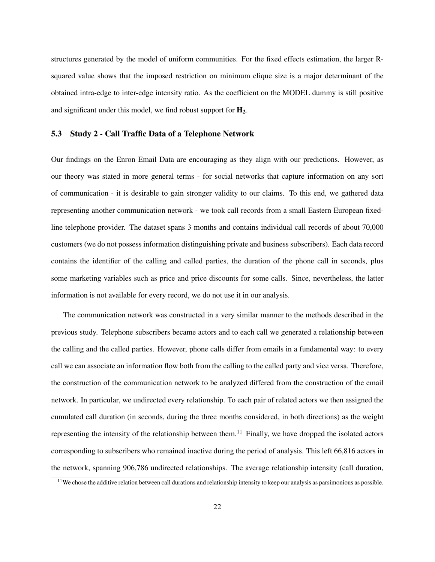structures generated by the model of uniform communities. For the fixed effects estimation, the larger Rsquared value shows that the imposed restriction on minimum clique size is a major determinant of the obtained intra-edge to inter-edge intensity ratio. As the coefficient on the MODEL dummy is still positive and significant under this model, we find robust support for  $H_2$ .

#### 5.3 Study 2 - Call Traffic Data of a Telephone Network

Our findings on the Enron Email Data are encouraging as they align with our predictions. However, as our theory was stated in more general terms - for social networks that capture information on any sort of communication - it is desirable to gain stronger validity to our claims. To this end, we gathered data representing another communication network - we took call records from a small Eastern European fixedline telephone provider. The dataset spans 3 months and contains individual call records of about 70,000 customers (we do not possess information distinguishing private and business subscribers). Each data record contains the identifier of the calling and called parties, the duration of the phone call in seconds, plus some marketing variables such as price and price discounts for some calls. Since, nevertheless, the latter information is not available for every record, we do not use it in our analysis.

The communication network was constructed in a very similar manner to the methods described in the previous study. Telephone subscribers became actors and to each call we generated a relationship between the calling and the called parties. However, phone calls differ from emails in a fundamental way: to every call we can associate an information flow both from the calling to the called party and vice versa. Therefore, the construction of the communication network to be analyzed differed from the construction of the email network. In particular, we undirected every relationship. To each pair of related actors we then assigned the cumulated call duration (in seconds, during the three months considered, in both directions) as the weight representing the intensity of the relationship between them.<sup>11</sup> Finally, we have dropped the isolated actors corresponding to subscribers who remained inactive during the period of analysis. This left 66,816 actors in the network, spanning 906,786 undirected relationships. The average relationship intensity (call duration,

 $11$  We chose the additive relation between call durations and relationship intensity to keep our analysis as parsimonious as possible.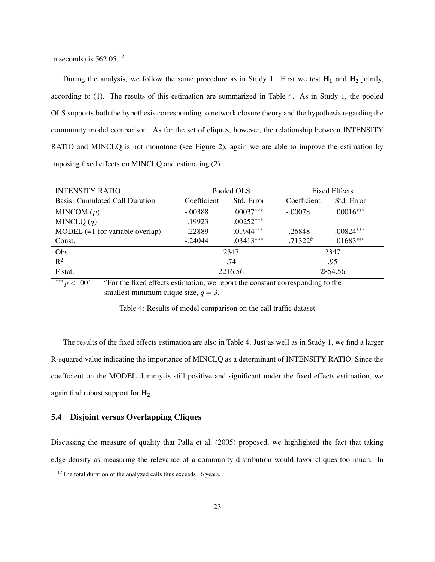in seconds) is 562.05.<sup>12</sup>

During the analysis, we follow the same procedure as in Study 1. First we test  $H_1$  and  $H_2$  jointly, according to (1). The results of this estimation are summarized in Table 4. As in Study 1, the pooled OLS supports both the hypothesis corresponding to network closure theory and the hypothesis regarding the community model comparison. As for the set of cliques, however, the relationship between INTENSITY RATIO and MINCLQ is not monotone (see Figure 2), again we are able to improve the estimation by imposing fixed effects on MINCLQ and estimating (2).

| <b>INTENSITY RATIO</b>            | Pooled OLS  |             | <b>Fixed Effects</b> |             |
|-----------------------------------|-------------|-------------|----------------------|-------------|
| Basis: Cumulated Call Duration    | Coefficient | Std. Error  | Coefficient          | Std. Error  |
| MINCOM $(p)$                      | $-.00388$   | $.00037***$ | $-.00078$            | $.00016***$ |
| MINCLQ $(q)$                      | .19923      | $.00252***$ |                      |             |
| $MODEL (=1 for variable overlap)$ | .22889      | $.01944***$ | .26848               | $.00824***$ |
| Const.                            | $-.24044$   | $.03413***$ | $.71322^b$           | $.01683***$ |
| Obs.                              | 2347        |             | 2347                 |             |
| $R^2$                             |             | .74         | .95                  |             |
| F stat.                           | 2216.56     |             | 2854.56              |             |

∗∗∗ *p* < .001 *<sup>b</sup>*For the fixed effects estimation, we report the constant corresponding to the smallest minimum clique size,  $q = 3$ .

Table 4: Results of model comparison on the call traffic dataset

The results of the fixed effects estimation are also in Table 4. Just as well as in Study 1, we find a larger R-squared value indicating the importance of MINCLQ as a determinant of INTENSITY RATIO. Since the coefficient on the MODEL dummy is still positive and significant under the fixed effects estimation, we again find robust support for  $H_2$ .

## 5.4 Disjoint versus Overlapping Cliques

Discussing the measure of quality that Palla et al. (2005) proposed, we highlighted the fact that taking edge density as measuring the relevance of a community distribution would favor cliques too much. In

<sup>&</sup>lt;sup>12</sup>The total duration of the analyzed calls thus exceeds 16 years.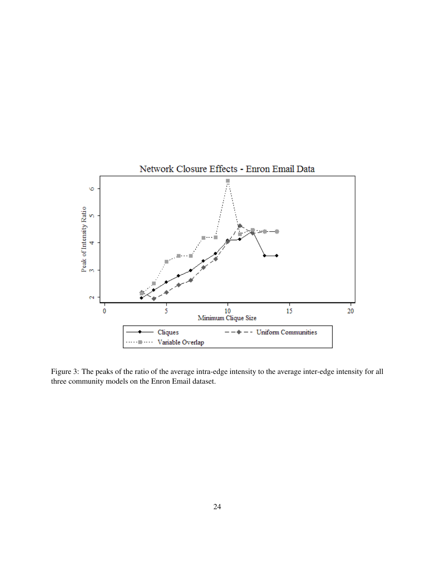

Figure 3: The peaks of the ratio of the average intra-edge intensity to the average inter-edge intensity for all three community models on the Enron Email dataset.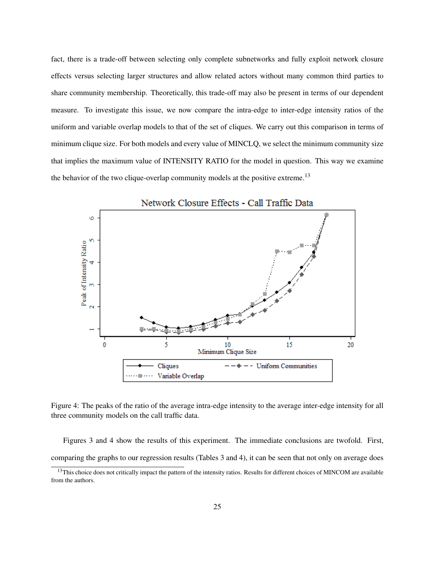fact, there is a trade-off between selecting only complete subnetworks and fully exploit network closure effects versus selecting larger structures and allow related actors without many common third parties to share community membership. Theoretically, this trade-off may also be present in terms of our dependent measure. To investigate this issue, we now compare the intra-edge to inter-edge intensity ratios of the uniform and variable overlap models to that of the set of cliques. We carry out this comparison in terms of minimum clique size. For both models and every value of MINCLQ, we select the minimum community size that implies the maximum value of INTENSITY RATIO for the model in question. This way we examine the behavior of the two clique-overlap community models at the positive extreme.<sup>13</sup>



Figure 4: The peaks of the ratio of the average intra-edge intensity to the average inter-edge intensity for all three community models on the call traffic data.

Figures 3 and 4 show the results of this experiment. The immediate conclusions are twofold. First, comparing the graphs to our regression results (Tables 3 and 4), it can be seen that not only on average does

<sup>&</sup>lt;sup>13</sup>This choice does not critically impact the pattern of the intensity ratios. Results for different choices of MINCOM are available from the authors.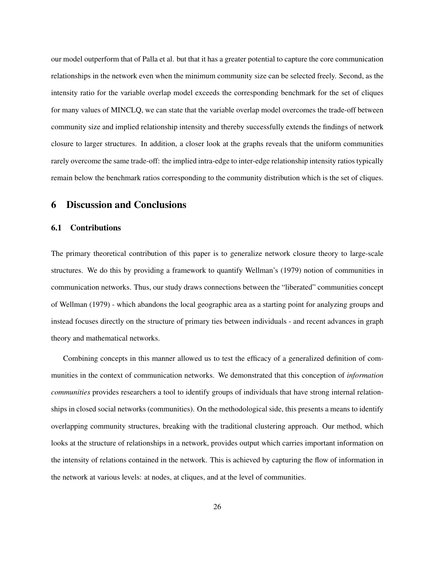our model outperform that of Palla et al. but that it has a greater potential to capture the core communication relationships in the network even when the minimum community size can be selected freely. Second, as the intensity ratio for the variable overlap model exceeds the corresponding benchmark for the set of cliques for many values of MINCLQ, we can state that the variable overlap model overcomes the trade-off between community size and implied relationship intensity and thereby successfully extends the findings of network closure to larger structures. In addition, a closer look at the graphs reveals that the uniform communities rarely overcome the same trade-off: the implied intra-edge to inter-edge relationship intensity ratios typically remain below the benchmark ratios corresponding to the community distribution which is the set of cliques.

## 6 Discussion and Conclusions

#### 6.1 Contributions

The primary theoretical contribution of this paper is to generalize network closure theory to large-scale structures. We do this by providing a framework to quantify Wellman's (1979) notion of communities in communication networks. Thus, our study draws connections between the "liberated" communities concept of Wellman (1979) - which abandons the local geographic area as a starting point for analyzing groups and instead focuses directly on the structure of primary ties between individuals - and recent advances in graph theory and mathematical networks.

Combining concepts in this manner allowed us to test the efficacy of a generalized definition of communities in the context of communication networks. We demonstrated that this conception of *information communities* provides researchers a tool to identify groups of individuals that have strong internal relationships in closed social networks (communities). On the methodological side, this presents a means to identify overlapping community structures, breaking with the traditional clustering approach. Our method, which looks at the structure of relationships in a network, provides output which carries important information on the intensity of relations contained in the network. This is achieved by capturing the flow of information in the network at various levels: at nodes, at cliques, and at the level of communities.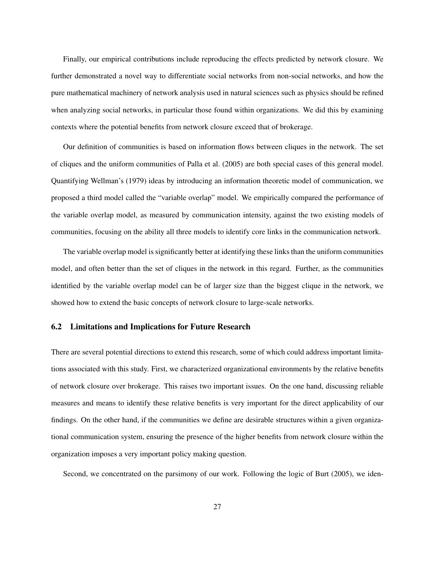Finally, our empirical contributions include reproducing the effects predicted by network closure. We further demonstrated a novel way to differentiate social networks from non-social networks, and how the pure mathematical machinery of network analysis used in natural sciences such as physics should be refined when analyzing social networks, in particular those found within organizations. We did this by examining contexts where the potential benefits from network closure exceed that of brokerage.

Our definition of communities is based on information flows between cliques in the network. The set of cliques and the uniform communities of Palla et al. (2005) are both special cases of this general model. Quantifying Wellman's (1979) ideas by introducing an information theoretic model of communication, we proposed a third model called the "variable overlap" model. We empirically compared the performance of the variable overlap model, as measured by communication intensity, against the two existing models of communities, focusing on the ability all three models to identify core links in the communication network.

The variable overlap model is significantly better at identifying these links than the uniform communities model, and often better than the set of cliques in the network in this regard. Further, as the communities identified by the variable overlap model can be of larger size than the biggest clique in the network, we showed how to extend the basic concepts of network closure to large-scale networks.

#### 6.2 Limitations and Implications for Future Research

There are several potential directions to extend this research, some of which could address important limitations associated with this study. First, we characterized organizational environments by the relative benefits of network closure over brokerage. This raises two important issues. On the one hand, discussing reliable measures and means to identify these relative benefits is very important for the direct applicability of our findings. On the other hand, if the communities we define are desirable structures within a given organizational communication system, ensuring the presence of the higher benefits from network closure within the organization imposes a very important policy making question.

Second, we concentrated on the parsimony of our work. Following the logic of Burt (2005), we iden-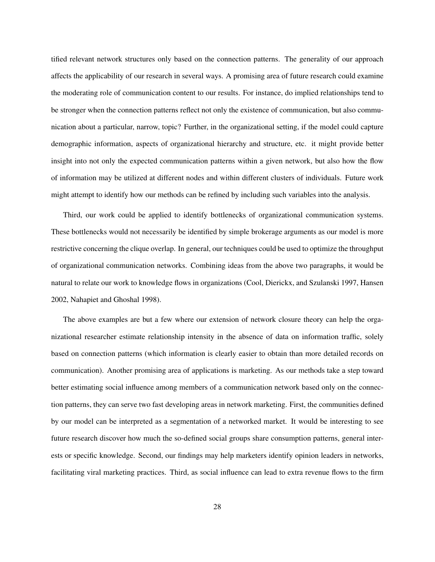tified relevant network structures only based on the connection patterns. The generality of our approach affects the applicability of our research in several ways. A promising area of future research could examine the moderating role of communication content to our results. For instance, do implied relationships tend to be stronger when the connection patterns reflect not only the existence of communication, but also communication about a particular, narrow, topic? Further, in the organizational setting, if the model could capture demographic information, aspects of organizational hierarchy and structure, etc. it might provide better insight into not only the expected communication patterns within a given network, but also how the flow of information may be utilized at different nodes and within different clusters of individuals. Future work might attempt to identify how our methods can be refined by including such variables into the analysis.

Third, our work could be applied to identify bottlenecks of organizational communication systems. These bottlenecks would not necessarily be identified by simple brokerage arguments as our model is more restrictive concerning the clique overlap. In general, our techniques could be used to optimize the throughput of organizational communication networks. Combining ideas from the above two paragraphs, it would be natural to relate our work to knowledge flows in organizations (Cool, Dierickx, and Szulanski 1997, Hansen 2002, Nahapiet and Ghoshal 1998).

The above examples are but a few where our extension of network closure theory can help the organizational researcher estimate relationship intensity in the absence of data on information traffic, solely based on connection patterns (which information is clearly easier to obtain than more detailed records on communication). Another promising area of applications is marketing. As our methods take a step toward better estimating social influence among members of a communication network based only on the connection patterns, they can serve two fast developing areas in network marketing. First, the communities defined by our model can be interpreted as a segmentation of a networked market. It would be interesting to see future research discover how much the so-defined social groups share consumption patterns, general interests or specific knowledge. Second, our findings may help marketers identify opinion leaders in networks, facilitating viral marketing practices. Third, as social influence can lead to extra revenue flows to the firm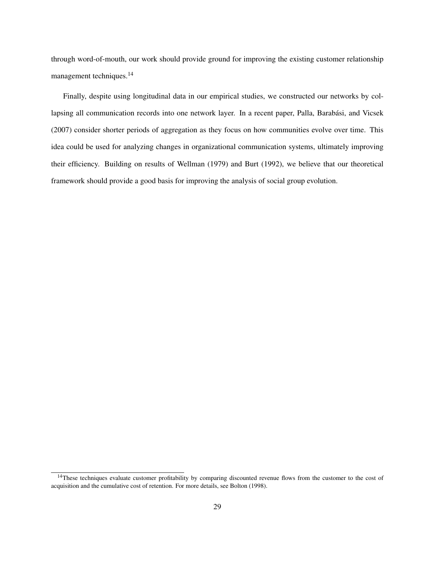through word-of-mouth, our work should provide ground for improving the existing customer relationship management techniques.<sup>14</sup>

Finally, despite using longitudinal data in our empirical studies, we constructed our networks by collapsing all communication records into one network layer. In a recent paper, Palla, Barabási, and Vicsek (2007) consider shorter periods of aggregation as they focus on how communities evolve over time. This idea could be used for analyzing changes in organizational communication systems, ultimately improving their efficiency. Building on results of Wellman (1979) and Burt (1992), we believe that our theoretical framework should provide a good basis for improving the analysis of social group evolution.

<sup>&</sup>lt;sup>14</sup>These techniques evaluate customer profitability by comparing discounted revenue flows from the customer to the cost of acquisition and the cumulative cost of retention. For more details, see Bolton (1998).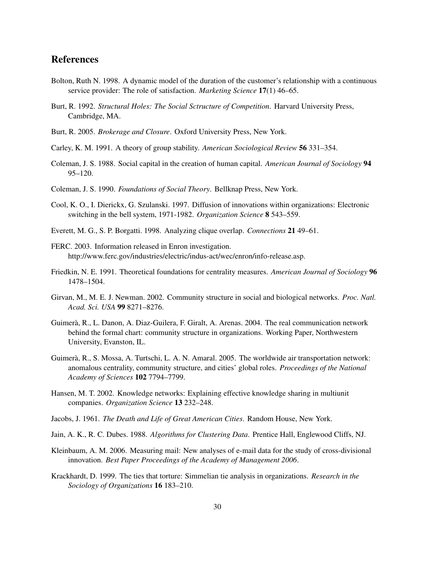## References

- Bolton, Ruth N. 1998. A dynamic model of the duration of the customer's relationship with a continuous service provider: The role of satisfaction. *Marketing Science* 17(1) 46–65.
- Burt, R. 1992. *Structural Holes: The Social Sctructure of Competition*. Harvard University Press, Cambridge, MA.
- Burt, R. 2005. *Brokerage and Closure*. Oxford University Press, New York.
- Carley, K. M. 1991. A theory of group stability. *American Sociological Review* 56 331–354.
- Coleman, J. S. 1988. Social capital in the creation of human capital. *American Journal of Sociology* 94 95–120.
- Coleman, J. S. 1990. *Foundations of Social Theory*. Bellknap Press, New York.
- Cool, K. O., I. Dierickx, G. Szulanski. 1997. Diffusion of innovations within organizations: Electronic switching in the bell system, 1971-1982. *Organization Science* 8 543–559.
- Everett, M. G., S. P. Borgatti. 1998. Analyzing clique overlap. *Connections* 21 49–61.
- FERC. 2003. Information released in Enron investigation. http://www.ferc.gov/industries/electric/indus-act/wec/enron/info-release.asp.
- Friedkin, N. E. 1991. Theoretical foundations for centrality measures. *American Journal of Sociology* 96 1478–1504.
- Girvan, M., M. E. J. Newman. 2002. Community structure in social and biological networks. *Proc. Natl. Acad. Sci. USA* 99 8271–8276.
- Guimerà, R., L. Danon, A. Diaz-Guilera, F. Giralt, A. Arenas. 2004. The real communication network behind the formal chart: community structure in organizations. Working Paper, Northwestern University, Evanston, IL.
- Guimerà, R., S. Mossa, A. Turtschi, L. A. N. Amaral. 2005. The worldwide air transportation network: anomalous centrality, community structure, and cities' global roles. *Proceedings of the National Academy of Sciences* 102 7794–7799.
- Hansen, M. T. 2002. Knowledge networks: Explaining effective knowledge sharing in multiunit companies. *Organization Science* 13 232–248.
- Jacobs, J. 1961. *The Death and Life of Great American Cities*. Random House, New York.
- Jain, A. K., R. C. Dubes. 1988. *Algorithms for Clustering Data*. Prentice Hall, Englewood Cliffs, NJ.
- Kleinbaum, A. M. 2006. Measuring mail: New analyses of e-mail data for the study of cross-divisional innovation. *Best Paper Proceedings of the Academy of Management 2006*.
- Krackhardt, D. 1999. The ties that torture: Simmelian tie analysis in organizations. *Research in the Sociology of Organizations* 16 183–210.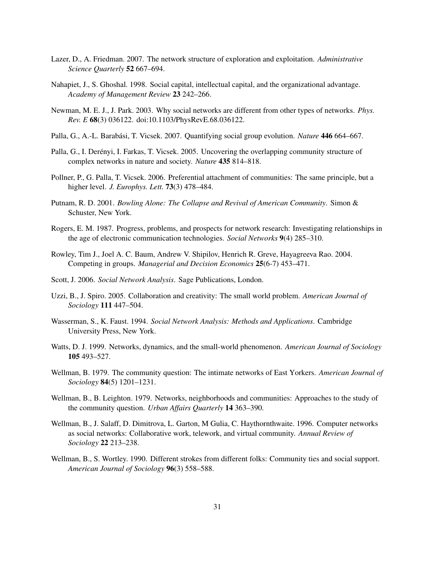- Lazer, D., A. Friedman. 2007. The network structure of exploration and exploitation. *Administrative Science Quarterly* 52 667–694.
- Nahapiet, J., S. Ghoshal. 1998. Social capital, intellectual capital, and the organizational advantage. *Academy of Management Review* 23 242–266.
- Newman, M. E. J., J. Park. 2003. Why social networks are different from other types of networks. *Phys. Rev. E* 68(3) 036122. doi:10.1103/PhysRevE.68.036122.
- Palla, G., A.-L. Barabási, T. Vicsek. 2007. Quantifying social group evolution. *Nature* 446 664–667.
- Palla, G., I. Derényi, I. Farkas, T. Vicsek. 2005. Uncovering the overlapping community structure of complex networks in nature and society. *Nature* 435 814–818.
- Pollner, P., G. Palla, T. Vicsek. 2006. Preferential attachment of communities: The same principle, but a higher level. *J. Europhys. Lett.* 73(3) 478–484.
- Putnam, R. D. 2001. *Bowling Alone: The Collapse and Revival of American Community*. Simon & Schuster, New York.
- Rogers, E. M. 1987. Progress, problems, and prospects for network research: Investigating relationships in the age of electronic communication technologies. *Social Networks* 9(4) 285–310.
- Rowley, Tim J., Joel A. C. Baum, Andrew V. Shipilov, Henrich R. Greve, Hayagreeva Rao. 2004. Competing in groups. *Managerial and Decision Economics* 25(6-7) 453–471.
- Scott, J. 2006. *Social Network Analysis*. Sage Publications, London.
- Uzzi, B., J. Spiro. 2005. Collaboration and creativity: The small world problem. *American Journal of Sociology* 111 447–504.
- Wasserman, S., K. Faust. 1994. *Social Network Analysis: Methods and Applications*. Cambridge University Press, New York.
- Watts, D. J. 1999. Networks, dynamics, and the small-world phenomenon. *American Journal of Sociology* 105 493–527.
- Wellman, B. 1979. The community question: The intimate networks of East Yorkers. *American Journal of Sociology* 84(5) 1201–1231.
- Wellman, B., B. Leighton. 1979. Networks, neighborhoods and communities: Approaches to the study of the community question. *Urban Affairs Quarterly* 14 363–390.
- Wellman, B., J. Salaff, D. Dimitrova, L. Garton, M Gulia, C. Haythornthwaite. 1996. Computer networks as social networks: Collaborative work, telework, and virtual community. *Annual Review of Sociology* 22 213–238.
- Wellman, B., S. Wortley. 1990. Different strokes from different folks: Community ties and social support. *American Journal of Sociology* 96(3) 558–588.